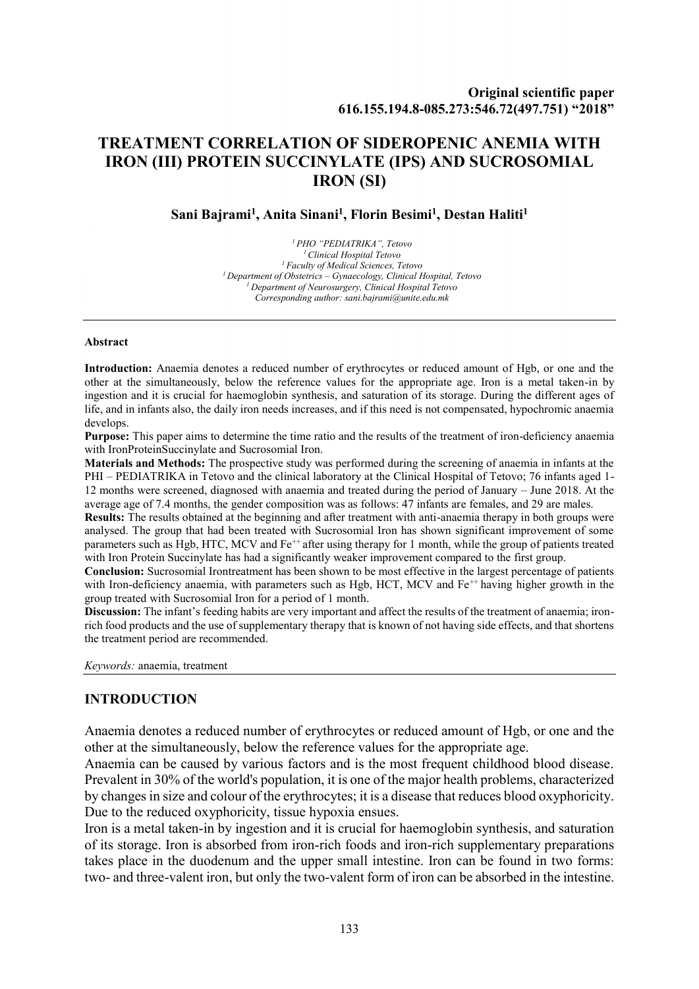# **TREATMENT CORRELATION OF SIDEROPENIC ANEMIA WITH IRON (III) PROTEIN SUCCINYLATE (IPS) AND SUCROSOMIAL IRON (SI)**

#### **Sani Bajrami<sup>1</sup> , Anita Sinani<sup>1</sup> , Florin Besimi<sup>1</sup> , Destan Haliti<sup>1</sup>**

*PHO "PEDIATRIKA", Tetovo Clinical Hospital Tetovo Faculty of Medical Sciences, Tetovo Department of Obstetrics – Gynaecology, Clinical Hospital, Tetovo Department of Neurosurgery, Clinical Hospital Tetovo Corresponding author: sani.bajrami@unite.edu.mk*

#### **Abstract**

**Introduction:** Anaemia denotes a reduced number of erythrocytes or reduced amount of Hgb, or one and the other at the simultaneously, below the reference values for the appropriate age. Iron is a metal taken-in by ingestion and it is crucial for haemoglobin synthesis, and saturation of its storage. During the different ages of life, and in infants also, the daily iron needs increases, and if this need is not compensated, hypochromic anaemia develops.

**Purpose:** This paper aims to determine the time ratio and the results of the treatment of iron-deficiency anaemia with IronProteinSuccinylate and Sucrosomial Iron.

**Materials and Methods:** The prospective study was performed during the screening of anaemia in infants at the PHI – PEDIATRIKA in Tetovo and the clinical laboratory at the Clinical Hospital of Tetovo; 76 infants aged 1- 12 months were screened, diagnosed with anaemia and treated during the period of January – June 2018. At the average age of 7.4 months, the gender composition was as follows: 47 infants are females, and 29 are males.

**Results:** The results obtained at the beginning and after treatment with anti-anaemia therapy in both groups were analysed. The group that had been treated with Sucrosomial Iron has shown significant improvement of some parameters such as Hgb, HTC, MCV and Fe<sup>++</sup> after using therapy for 1 month, while the group of patients treated with Iron Protein Succinylate has had a significantly weaker improvement compared to the first group.

**Conclusion:** Sucrosomial Irontreatment has been shown to be most effective in the largest percentage of patients with Iron-deficiency anaemia, with parameters such as Hgb, HCT, MCV and Fe<sup>++</sup> having higher growth in the group treated with Sucrosomial Iron for a period of 1 month.

**Discussion:** The infant's feeding habits are very important and affect the results of the treatment of anaemia; ironrich food products and the use of supplementary therapy that is known of not having side effects, and that shortens the treatment period are recommended.

*Keywords:* anaemia, treatment

#### **INTRODUCTION**

Anaemia denotes a reduced number of erythrocytes or reduced amount of Hgb, or one and the other at the simultaneously, below the reference values for the appropriate age.

Anaemia can be caused by various factors and is the most frequent childhood blood disease. Prevalent in 30% of the world's population, it is one of the major health problems, characterized by changes in size and colour of the erythrocytes; it is a disease that reduces blood oxyphoricity. Due to the reduced oxyphoricity, tissue hypoxia ensues.

Iron is a metal taken-in by ingestion and it is crucial for haemoglobin synthesis, and saturation of its storage. Iron is absorbed from iron-rich foods and iron-rich supplementary preparations takes place in the duodenum and the upper small intestine. Iron can be found in two forms: two- and three-valent iron, but only the two-valent form of iron can be absorbed in the intestine.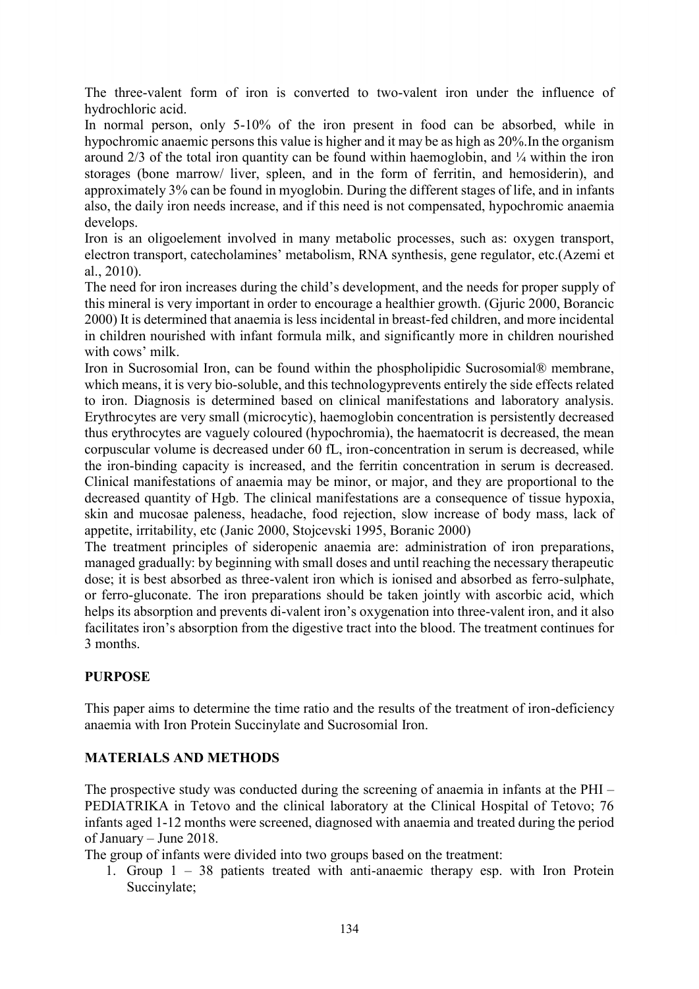The three-valent form of iron is converted to two-valent iron under the influence of hydrochloric acid.

In normal person, only 5-10% of the iron present in food can be absorbed, while in hypochromic anaemic persons this value is higher and it may be as high as 20%.In the organism around  $2/3$  of the total iron quantity can be found within haemoglobin, and  $\frac{1}{4}$  within the iron storages (bone marrow/ liver, spleen, and in the form of ferritin, and hemosiderin), and approximately 3% can be found in myoglobin. During the different stages of life, and in infants also, the daily iron needs increase, and if this need is not compensated, hypochromic anaemia develops.

Iron is an oligoelement involved in many metabolic processes, such as: oxygen transport, electron transport, catecholamines' metabolism, RNA synthesis, gene regulator, etc.(Azemi et al., 2010).

The need for iron increases during the child's development, and the needs for proper supply of this mineral is very important in order to encourage a healthier growth. (Gjuric 2000, Borancic 2000) It is determined that anaemia is less incidental in breast-fed children, and more incidental in children nourished with infant formula milk, and significantly more in children nourished with cows' milk.

Iron in Sucrosomial Iron, can be found within the phospholipidic Sucrosomial® membrane, which means, it is very bio-soluble, and this technologyprevents entirely the side effects related to iron. Diagnosis is determined based on clinical manifestations and laboratory analysis. Erythrocytes are very small (microcytic), haemoglobin concentration is persistently decreased thus erythrocytes are vaguely coloured (hypochromia), the haematocrit is decreased, the mean corpuscular volume is decreased under 60 fL, iron-concentration in serum is decreased, while the iron-binding capacity is increased, and the ferritin concentration in serum is decreased. Clinical manifestations of anaemia may be minor, or major, and they are proportional to the decreased quantity of Hgb. The clinical manifestations are a consequence of tissue hypoxia, skin and mucosae paleness, headache, food rejection, slow increase of body mass, lack of appetite, irritability, etc (Janic 2000, Stojcevski 1995, Boranic 2000)

The treatment principles of sideropenic anaemia are: administration of iron preparations, managed gradually: by beginning with small doses and until reaching the necessary therapeutic dose; it is best absorbed as three-valent iron which is ionised and absorbed as ferro-sulphate, or ferro-gluconate. The iron preparations should be taken jointly with ascorbic acid, which helps its absorption and prevents di-valent iron's oxygenation into three-valent iron, and it also facilitates iron's absorption from the digestive tract into the blood. The treatment continues for 3 months.

## **PURPOSE**

This paper aims to determine the time ratio and the results of the treatment of iron-deficiency anaemia with Iron Protein Succinylate and Sucrosomial Iron.

## **MATERIALS AND METHODS**

The prospective study was conducted during the screening of anaemia in infants at the PHI – PEDIATRIKA in Tetovo and the clinical laboratory at the Clinical Hospital of Tetovo; 76 infants aged 1-12 months were screened, diagnosed with anaemia and treated during the period of January – June 2018.

The group of infants were divided into two groups based on the treatment:

1. Group 1 – 38 patients treated with anti-anaemic therapy esp. with Iron Protein Succinylate;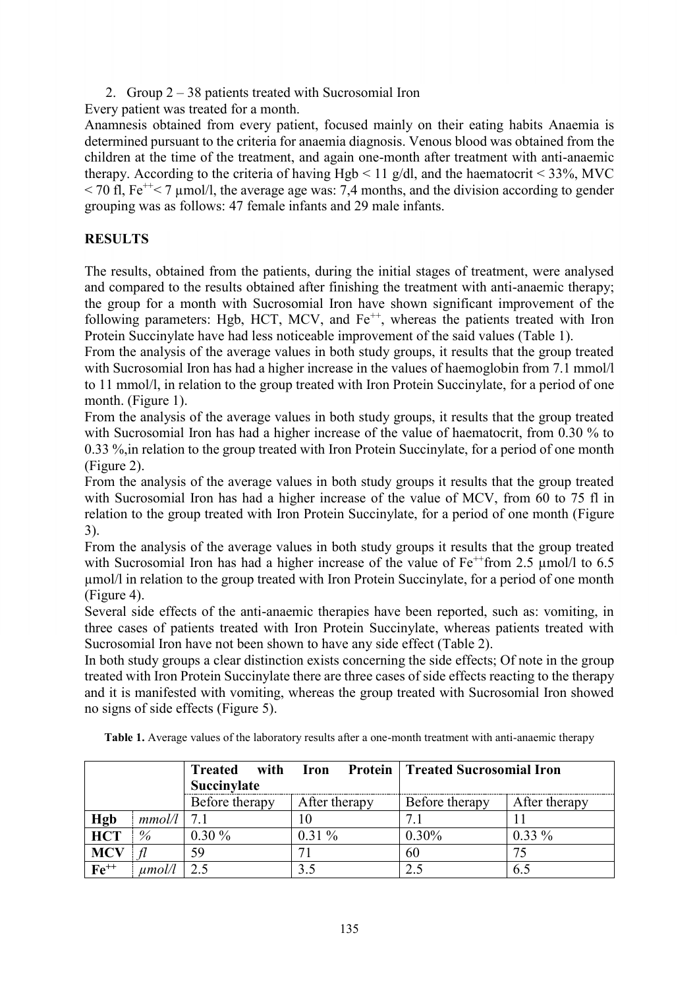2. Group 2 – 38 patients treated with Sucrosomial Iron

Every patient was treated for a month.

Anamnesis obtained from every patient, focused mainly on their eating habits Anaemia is determined pursuant to the criteria for anaemia diagnosis. Venous blood was obtained from the children at the time of the treatment, and again one-month after treatment with anti-anaemic therapy. According to the criteria of having Hgb  $\leq$  11 g/dl, and the haematocrit  $\leq$  33%, MVC  $\leq$  70 fl, Fe<sup>++</sup> $\leq$  7 µmol/l, the average age was: 7,4 months, and the division according to gender grouping was as follows: 47 female infants and 29 male infants.

# **RESULTS**

The results, obtained from the patients, during the initial stages of treatment, were analysed and compared to the results obtained after finishing the treatment with anti-anaemic therapy; the group for a month with Sucrosomial Iron have shown significant improvement of the following parameters: Hgb, HCT, MCV, and  $Fe^{++}$ , whereas the patients treated with Iron Protein Succinylate have had less noticeable improvement of the said values (Table 1).

From the analysis of the average values in both study groups, it results that the group treated with Sucrosomial Iron has had a higher increase in the values of haemoglobin from 7.1 mmol/l to 11 mmol/l, in relation to the group treated with Iron Protein Succinylate, for a period of one month. (Figure 1).

From the analysis of the average values in both study groups, it results that the group treated with Sucrosomial Iron has had a higher increase of the value of haematocrit, from 0.30 % to 0.33 %,in relation to the group treated with Iron Protein Succinylate, for a period of one month (Figure 2).

From the analysis of the average values in both study groups it results that the group treated with Sucrosomial Iron has had a higher increase of the value of MCV, from 60 to 75 fl in relation to the group treated with Iron Protein Succinylate, for a period of one month (Figure 3).

From the analysis of the average values in both study groups it results that the group treated with Sucrosomial Iron has had a higher increase of the value of  $Fe^{++}$ from 2.5  $\mu$ mol/l to 6.5 µmol/l in relation to the group treated with Iron Protein Succinylate, for a period of one month (Figure 4).

Several side effects of the anti-anaemic therapies have been reported, such as: vomiting, in three cases of patients treated with Iron Protein Succinylate, whereas patients treated with Sucrosomial Iron have not been shown to have any side effect (Table 2).

In both study groups a clear distinction exists concerning the side effects; Of note in the group treated with Iron Protein Succinylate there are three cases of side effects reacting to the therapy and it is manifested with vomiting, whereas the group treated with Sucrosomial Iron showed no signs of side effects (Figure 5).

|            |        | with<br><b>Treated</b><br>Succinylate | Iron          | <b>Protein   Treated Sucrosomial Iron</b> |               |
|------------|--------|---------------------------------------|---------------|-------------------------------------------|---------------|
|            |        | Before therapy                        | After therapy | Before therapy                            | After therapy |
| Hgb        | mmol/l | 7.1                                   |               |                                           |               |
| <b>HCT</b> | $\%$   | $0.30\%$                              | $0.31\%$      | 0.30%                                     | $0.33\%$      |
| <b>MCV</b> |        | 59                                    |               | 60                                        |               |
| $Fe++$     | umol/l | 2.5                                   | 3.5           | 2.5                                       | 6.5           |

**Table 1.** Average values of the laboratory results after a one-month treatment with anti-anaemic therapy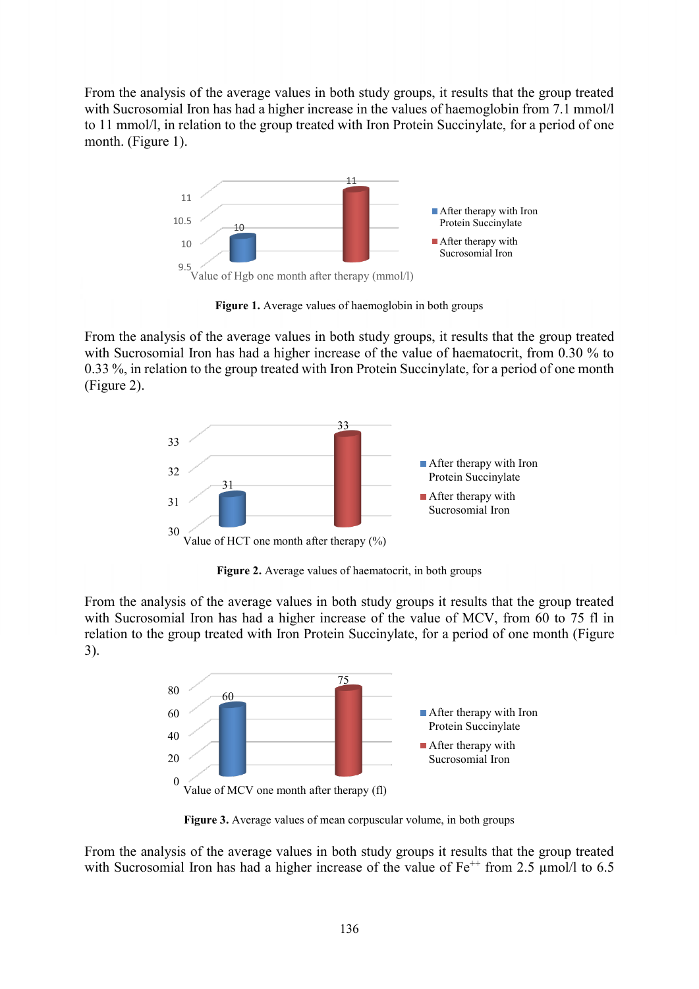From the analysis of the average values in both study groups, it results that the group treated with Sucrosomial Iron has had a higher increase in the values of haemoglobin from 7.1 mmol/l to 11 mmol/l, in relation to the group treated with Iron Protein Succinylate, for a period of one month. (Figure 1).



**Figure 1.** Average values of haemoglobin in both groups

From the analysis of the average values in both study groups, it results that the group treated with Sucrosomial Iron has had a higher increase of the value of haematocrit, from 0.30 % to 0.33 %, in relation to the group treated with Iron Protein Succinylate, for a period of one month (Figure 2).



**Figure 2.** Average values of haematocrit, in both groups

From the analysis of the average values in both study groups it results that the group treated with Sucrosomial Iron has had a higher increase of the value of MCV, from 60 to 75 fl in relation to the group treated with Iron Protein Succinylate, for a period of one month (Figure 3).



**Figure 3.** Average values of mean corpuscular volume, in both groups

From the analysis of the average values in both study groups it results that the group treated with Sucrosomial Iron has had a higher increase of the value of  $Fe^{++}$  from 2.5  $\mu$ mol/l to 6.5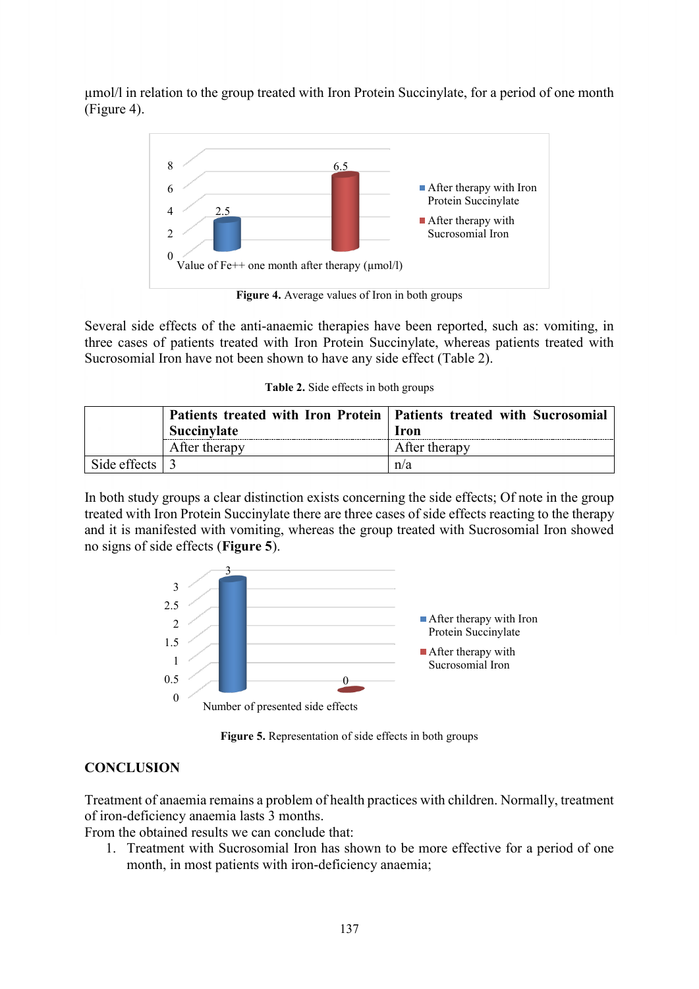µmol/l in relation to the group treated with Iron Protein Succinylate, for a period of one month (Figure 4).



Several side effects of the anti-anaemic therapies have been reported, such as: vomiting, in three cases of patients treated with Iron Protein Succinylate, whereas patients treated with Sucrosomial Iron have not been shown to have any side effect (Table 2).

|  |  | Table 2. Side effects in both groups |  |  |
|--|--|--------------------------------------|--|--|
|--|--|--------------------------------------|--|--|

|                        | <b>Succinvlate</b> | Patients treated with Iron Protein   Patients treated with Sucrosomial<br><b>Iron</b> |  |
|------------------------|--------------------|---------------------------------------------------------------------------------------|--|
|                        | After therapy      | After therapy                                                                         |  |
| Side effects $\vert$ 3 |                    | n/a                                                                                   |  |

In both study groups a clear distinction exists concerning the side effects; Of note in the group treated with Iron Protein Succinylate there are three cases of side effects reacting to the therapy and it is manifested with vomiting, whereas the group treated with Sucrosomial Iron showed no signs of side effects (**Figure 5**).



**Figure 5.** Representation of side effects in both groups

## **CONCLUSION**

Treatment of anaemia remains a problem of health practices with children. Normally, treatment of iron-deficiency anaemia lasts 3 months.

From the obtained results we can conclude that:

1. Treatment with Sucrosomial Iron has shown to be more effective for a period of one month, in most patients with iron-deficiency anaemia;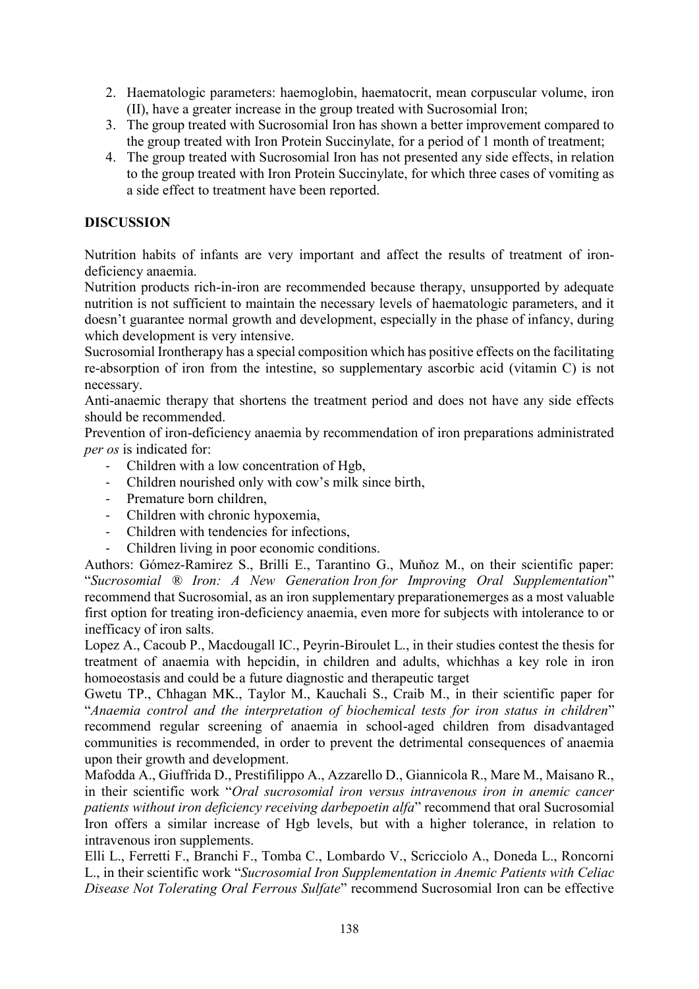- 2. Haematologic parameters: haemoglobin, haematocrit, mean corpuscular volume, iron (II), have a greater increase in the group treated with Sucrosomial Iron;
- 3. The group treated with Sucrosomial Iron has shown a better improvement compared to the group treated with Iron Protein Succinylate, for a period of 1 month of treatment;
- 4. The group treated with Sucrosomial Iron has not presented any side effects, in relation to the group treated with Iron Protein Succinylate, for which three cases of vomiting as a side effect to treatment have been reported.

## **DISCUSSION**

Nutrition habits of infants are very important and affect the results of treatment of irondeficiency anaemia.

Nutrition products rich-in-iron are recommended because therapy, unsupported by adequate nutrition is not sufficient to maintain the necessary levels of haematologic parameters, and it doesn't guarantee normal growth and development, especially in the phase of infancy, during which development is very intensive.

Sucrosomial Irontherapy has a special composition which has positive effects on the facilitating re-absorption of iron from the intestine, so supplementary ascorbic acid (vitamin C) is not necessary.

Anti-anaemic therapy that shortens the treatment period and does not have any side effects should be recommended.

Prevention of iron-deficiency anaemia by recommendation of iron preparations administrated *per os* is indicated for:

- Children with a low concentration of Hgb,
- Children nourished only with cow's milk since birth,
- Premature born children,
- Children with chronic hypoxemia,
- Children with tendencies for infections.
- Children living in poor economic conditions.

Authors: Gómez-Ramirez S., Brilli E., Tarantino G., Muňoz M., on their scientific paper: "*Sucrosomial ® Iron: A New Generation Iron for Improving Oral Supplementation*" recommend that Sucrosomial, as an iron supplementary preparationemerges as a most valuable first option for treating iron-deficiency anaemia, even more for subjects with intolerance to or inefficacy of iron salts.

Lopez A., Cacoub P., Macdougall IC., Peyrin-Biroulet L., in their studies contest the thesis for treatment of anaemia with hepcidin, in children and adults, whichhas a key role in iron homoeostasis and could be a future diagnostic and therapeutic target

Gwetu TP., Chhagan MK., Taylor M., Kauchali S., Craib M., in their scientific paper for "*Anaemia control and the interpretation of biochemical tests for iron status in children*" recommend regular screening of anaemia in school-aged children from disadvantaged communities is recommended, in order to prevent the detrimental consequences of anaemia upon their growth and development.

Mafodda A., Giuffrida D., Prestifilippo A., Azzarello D., Giannicola R., Mare M., Maisano R., in their scientific work "*Oral sucrosomial iron versus intravenous iron in anemic cancer patients without iron deficiency receiving darbepoetin alfa*" recommend that oral Sucrosomial Iron offers a similar increase of Hgb levels, but with a higher tolerance, in relation to intravenous iron supplements.

Elli L., Ferretti F., Branchi F., Tomba C., Lombardo V., Scricciolo A., Doneda L., Roncorni L., in their scientific work "*Sucrosomial Iron Supplementation in Anemic Patients with Celiac Disease Not Tolerating Oral Ferrous Sulfate*" recommend Sucrosomial Iron can be effective